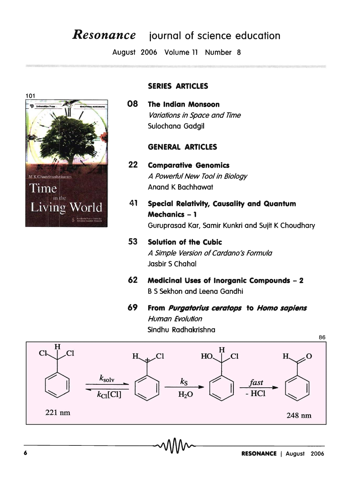# **Resonance** journal of science education

August 2006 Volume 11 Number 8



## **SERIES ARTICLES**

80 **The Indian Monsoon** Variations in Space and Time Sulochana Gadgil

### **GENERAL ARTICLES**

- $22$ **Comparative Genomics** A Powerful New Tool in Biology **Anand K Bachhawat**
- 41 Special Relativity, Causality and Quantum Mechanics - 1 Guruprasad Kar, Samir Kunkri and Sujit K Choudhary
- 53 **Solution of the Cubic** A Simple Version of Cardano's Formula Jasbir S Chahal
- Medicinal Uses of Inorganic Compounds 2 62 **B S Sekhon and Leena Gandhi**
- 69 From Purgatorius ceratops to Homo sapiens **Human Evolution** Sindhu Radhakrishna